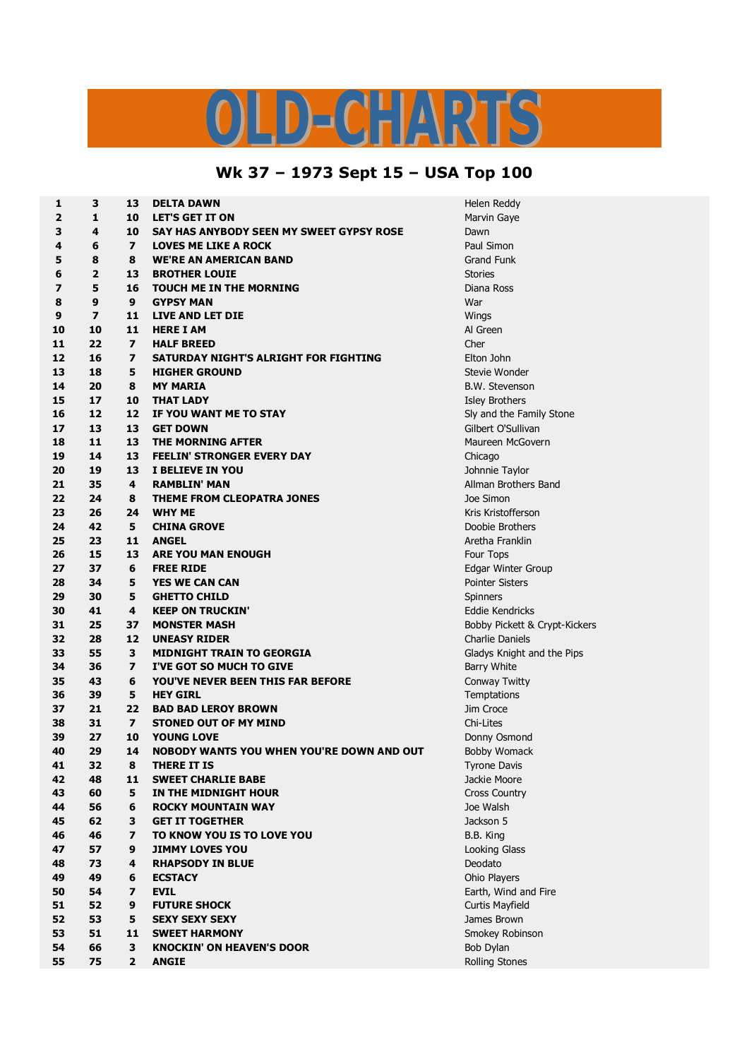## $\begin{array}{c} \square \end{array}$

## **Wk 37 – 1973 Sept 15 – USA Top 100**

| 1  | 3              | 13                      | <b>DELTA DAWN</b>                         | Helen Redo          |
|----|----------------|-------------------------|-------------------------------------------|---------------------|
| 2  | 1              | 10                      | <b>LET'S GET IT ON</b>                    | Marvin Gay          |
| 3  | 4              | 10                      | SAY HAS ANYBODY SEEN MY SWEET GYPSY ROSE  | Dawn                |
| 4  | 6              | $\overline{ }$          | <b>LOVES ME LIKE A ROCK</b>               | Paul Simon          |
| 5  | 8              | 8                       | <b>WE'RE AN AMERICAN BAND</b>             | <b>Grand Funl</b>   |
| 6  | 2              | 13                      | <b>BROTHER LOUIE</b>                      | <b>Stories</b>      |
| 7  | 5              | 16                      | <b>TOUCH ME IN THE MORNING</b>            | Diana Ross          |
| 8  | 9              | 9                       | <b>GYPSY MAN</b>                          | War                 |
| 9  | $\overline{z}$ | 11                      | <b>LIVE AND LET DIE</b>                   | Wings               |
| 10 | 10             | 11                      | <b>HERE I AM</b>                          | Al Green            |
| 11 | 22             | $\overline{z}$          | <b>HALF BREED</b>                         | Cher                |
| 12 | 16             | $\overline{\mathbf{z}}$ | SATURDAY NIGHT'S ALRIGHT FOR FIGHTING     | Elton John          |
| 13 | 18             | 5                       | <b>HIGHER GROUND</b>                      | Stevie Wor          |
| 14 | 20             | 8                       | <b>MY MARIA</b>                           | <b>B.W. Steve</b>   |
| 15 | 17             | 10                      | <b>THAT LADY</b>                          | Isley Broth         |
| 16 | 12             | 12                      | IF YOU WANT ME TO STAY                    | Sly and the         |
| 17 | 13             | 13                      | <b>GET DOWN</b>                           | Gilbert O'S         |
| 18 | 11             | 13                      | THE MORNING AFTER                         | Maureen M           |
| 19 | 14             | 13                      | <b>FEELIN' STRONGER EVERY DAY</b>         | Chicago             |
| 20 | 19             | 13                      | I BELIEVE IN YOU                          | Johnnie Ta          |
| 21 | 35             | 4                       | <b>RAMBLIN' MAN</b>                       | Allman Bro          |
| 22 | 24             | 8                       | THEME FROM CLEOPATRA JONES                | Joe Simon           |
| 23 | 26             | 24                      | <b>WHY ME</b>                             | <b>Kris Kristof</b> |
| 24 | 42             | 5                       | <b>CHINA GROVE</b>                        | Doobie Bro          |
| 25 | 23             | 11                      | <b>ANGEL</b>                              | Aretha Frai         |
| 26 | 15             | 13                      | <b>ARE YOU MAN ENOUGH</b>                 | Four Tops           |
| 27 | 37             | 6                       | <b>FREE RIDE</b>                          | <b>Edgar Wint</b>   |
| 28 | 34             | 5                       | <b>YES WE CAN CAN</b>                     | <b>Pointer Sist</b> |
| 29 | 30             | 5                       | <b>GHETTO CHILD</b>                       | <b>Spinners</b>     |
| 30 | 41             | 4                       | <b>KEEP ON TRUCKIN'</b>                   | Eddie Kend          |
| 31 | 25             | 37                      | <b>MONSTER MASH</b>                       | <b>Bobby Pick</b>   |
| 32 | 28             | 12                      | <b>UNEASY RIDER</b>                       | Charlie Dar         |
| 33 | 55             | 3                       | <b>MIDNIGHT TRAIN TO GEORGIA</b>          | Gladys Knig         |
| 34 | 36             | $\overline{ }$          | I'VE GOT SO MUCH TO GIVE                  | Barry White         |
| 35 | 43             | 6                       | <b>YOU'VE NEVER BEEN THIS FAR BEFORE</b>  | Conway Tv           |
| 36 | 39             | 5                       | <b>HEY GIRL</b>                           | Temptation          |
| 37 | 21             | 22                      | <b>BAD BAD LEROY BROWN</b>                | Jim Croce           |
| 38 | 31             | $\overline{ }$          | <b>STONED OUT OF MY MIND</b>              | Chi-Lites           |
| 39 | 27             | 10                      | <b>YOUNG LOVE</b>                         | Donny Osn           |
| 40 | 29             | 14                      | NOBODY WANTS YOU WHEN YOU'RE DOWN AND OUT | Bobby Wor           |
| 41 | 32             | 8                       | <b>THERE IT IS</b>                        | Tyrone Day          |
| 42 | 48             | 11                      | <b>SWEET CHARLIE BABE</b>                 | Jackie Moo          |
| 43 | 60             | 5                       | IN THE MIDNIGHT HOUR                      | Cross Cour          |
| 44 | 56             | 6                       | <b>ROCKY MOUNTAIN WAY</b>                 | Joe Walsh           |
| 45 | 62             | 3                       | <b>GET IT TOGETHER</b>                    | Jackson 5           |
| 46 | 46             | $\overline{z}$          | TO KNOW YOU IS TO LOVE YOU                | B.B. King           |
| 47 | 57             | 9                       | <b>JIMMY LOVES YOU</b>                    | Looking Gla         |
| 48 | 73             | 4                       | <b>RHAPSODY IN BLUE</b>                   | Deodato             |
| 49 | 49             | 6                       | <b>ECSTACY</b>                            | Ohio Player         |
| 50 | 54             | $\overline{\mathbf{z}}$ | <b>EVIL</b>                               | Earth, Win          |
| 51 | 52             | 9                       | <b>FUTURE SHOCK</b>                       | <b>Curtis Mayl</b>  |
| 52 | 53             | 5                       | <b>SEXY SEXY SEXY</b>                     | James Broy          |
| 53 | 51             | 11                      | <b>SWEET HARMONY</b>                      | Smokey Rc           |
| 54 | 66             | 3                       | <b>KNOCKIN' ON HEAVEN'S DOOR</b>          | Bob Dylan           |
| 55 | 75             | $\overline{2}$          | <b>ANGIE</b>                              | Rolling Sto         |
|    |                |                         |                                           |                     |

**Helen Reddy Marvin Gaye Paul Simon Grand Funk 12 16 7 SATURDAY NIGHT'S ALRIGHT FOR FIGHTING** Elton John **Stevie Wonder 14 20 8 MY MARIA** B.W. Stevenson **15 17 10 THAT LADY** Isley Brothers **16 12 12 IF YOU WANT ME TO STAY** Sly and the Family Stone **17 13 13 GET DOWN** Gilbert O'Sullivan **Maureen McGovern 20 19 13 I BELIEVE IN YOU** Johnnie Taylor **21 35 4 RAMBLIN' MAN** Allman Brothers Band **23 26 24 WHY ME** Kris Kristofferson **Doobie Brothers 25 23 11 ANGEL** Aretha Franklin **27 Edgar Winter Group Pointer Sisters**  $E$ ddie Kendricks **31 25 37 MONSTER MASH** Bobby Pickett & Crypt-Kickers **32 28 12 UNEASY RIDER** Charlie Daniels **Gladys Knight and the Pips Barry White 35 43 6 YOU'VE NEVER BEEN THIS FAR BEFORE** Conway Twitty **36 39 5 HEY GIRL** Temptations **Donny Osmond Bobby Womack Tyrone Davis Jackie Moore Cross Country Looking Glass 0 A CO eCS Earth, Wind and Fire Curtis Mayfield James Brown Smokey Robinson Bob Dylan 55 75 2 ANGIE** Rolling Stones